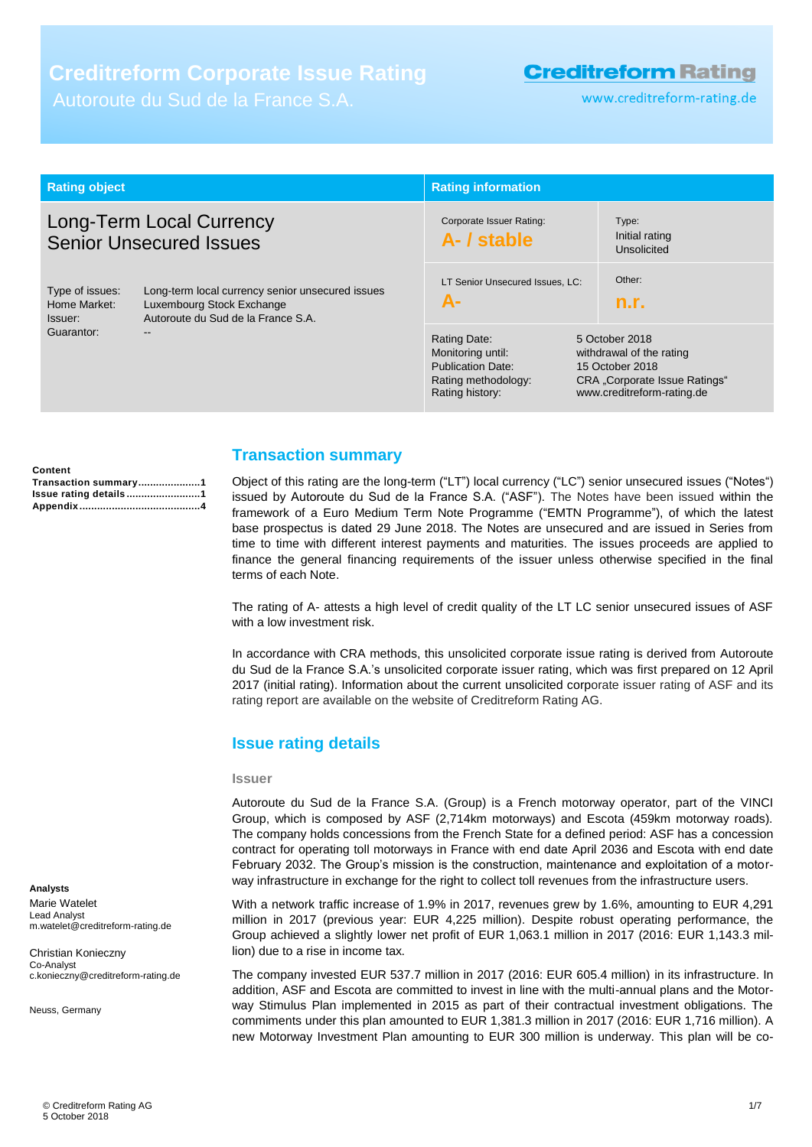# **Creditreform Corporate Issue Rating**

Autoroute du Sud de la France S.A.

# **Creditreform Rating**

www.creditreform-rating.de

| <b>Rating object</b>                                       |                                                                                                                              | <b>Rating information</b>                                                                                                                               |                                                                                                                                                       |
|------------------------------------------------------------|------------------------------------------------------------------------------------------------------------------------------|---------------------------------------------------------------------------------------------------------------------------------------------------------|-------------------------------------------------------------------------------------------------------------------------------------------------------|
| Long-Term Local Currency<br><b>Senior Unsecured Issues</b> |                                                                                                                              | Corporate Issuer Rating:<br>A- / stable                                                                                                                 | Type:<br>Initial rating<br>Unsolicited                                                                                                                |
| Type of issues:<br>Home Market:<br>Issuer:<br>Guarantor:   | Long-term local currency senior unsecured issues<br>Luxembourg Stock Exchange<br>Autoroute du Sud de la France S.A.<br>$- -$ | LT Senior Unsecured Issues, LC:<br><b>A-</b><br>Rating Date:<br>Monitoring until:<br><b>Publication Date:</b><br>Rating methodology:<br>Rating history: | Other:<br>n.r.<br>5 October 2018<br>withdrawal of the rating<br>15 October 2018<br><b>CRA</b> "Corporate Issue Ratings"<br>www.creditreform-rating.de |

| Content               |  |
|-----------------------|--|
| Transaction summary1  |  |
| Issue rating details1 |  |
|                       |  |

# <span id="page-0-0"></span>**Transaction summary**

Object of this rating are the long-term ("LT") local currency ("LC") senior unsecured issues ("Notes") issued by Autoroute du Sud de la France S.A. ("ASF"). The Notes have been issued within the framework of a Euro Medium Term Note Programme ("EMTN Programme"), of which the latest base prospectus is dated 29 June 2018. The Notes are unsecured and are issued in Series from time to time with different interest payments and maturities. The issues proceeds are applied to finance the general financing requirements of the issuer unless otherwise specified in the final terms of each Note.

The rating of A- attests a high level of credit quality of the LT LC senior unsecured issues of ASF with a low investment risk.

In accordance with CRA methods, this unsolicited corporate issue rating is derived from Autoroute du Sud de la France S.A.'s unsolicited corporate issuer rating, which was first prepared on 12 April 2017 (initial rating). Information about the current unsolicited corporate issuer rating of ASF and its rating report are available on the website of Creditreform Rating AG.

# <span id="page-0-1"></span>**Issue rating details**

#### **Issuer**

Autoroute du Sud de la France S.A. (Group) is a French motorway operator, part of the VINCI Group, which is composed by ASF (2,714km motorways) and Escota (459km motorway roads). The company holds concessions from the French State for a defined period: ASF has a concession contract for operating toll motorways in France with end date April 2036 and Escota with end date February 2032. The Group's mission is the construction, maintenance and exploitation of a motorway infrastructure in exchange for the right to collect toll revenues from the infrastructure users.

With a network traffic increase of 1.9% in 2017, revenues grew by 1.6%, amounting to EUR 4,291 million in 2017 (previous year: EUR 4,225 million). Despite robust operating performance, the Group achieved a slightly lower net profit of EUR 1,063.1 million in 2017 (2016: EUR 1,143.3 million) due to a rise in income tax.

The company invested EUR 537.7 million in 2017 (2016: EUR 605.4 million) in its infrastructure. In addition, ASF and Escota are committed to invest in line with the multi-annual plans and the Motorway Stimulus Plan implemented in 2015 as part of their contractual investment obligations. The commiments under this plan amounted to EUR 1,381.3 million in 2017 (2016: EUR 1,716 million). A new Motorway Investment Plan amounting to EUR 300 million is underway. This plan will be co-

**Analysts**

Marie Watelet Lead Analyst m.watelet@creditreform-rating.de

Christian Konieczny Co-Analyst c.konieczny@creditreform-rating.de

Neuss, Germany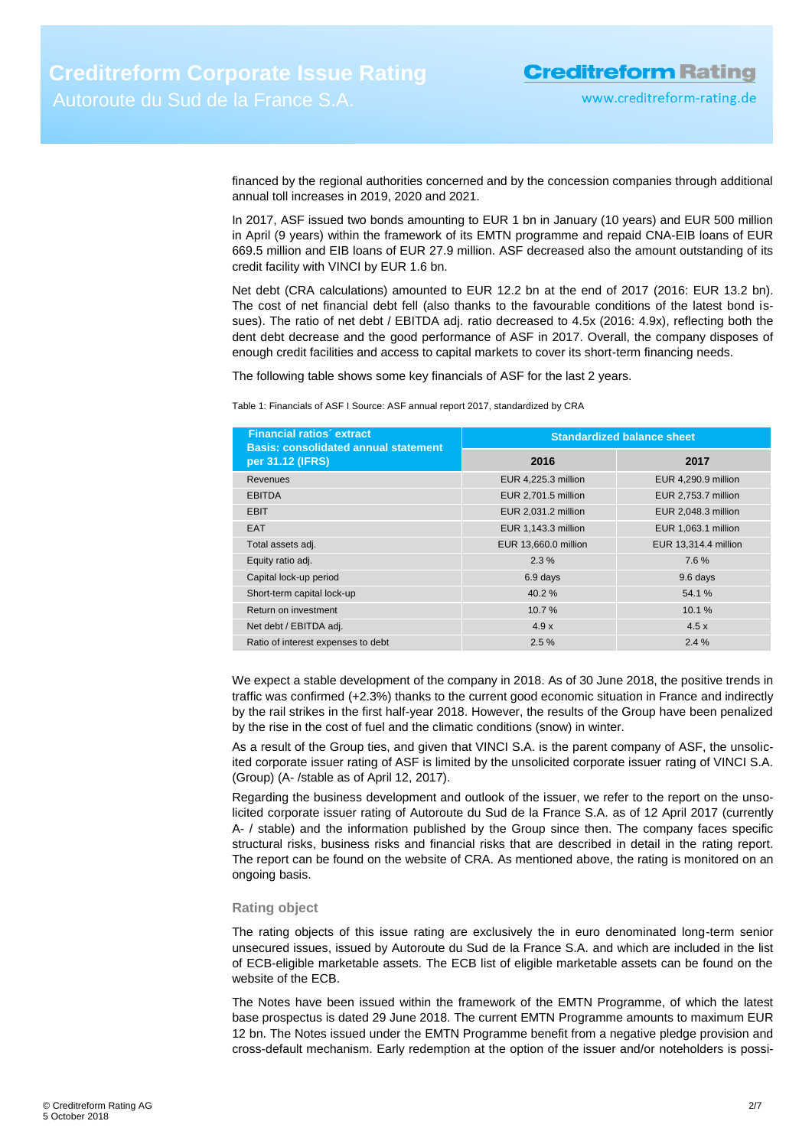financed by the regional authorities concerned and by the concession companies through additional annual toll increases in 2019, 2020 and 2021.

In 2017, ASF issued two bonds amounting to EUR 1 bn in January (10 years) and EUR 500 million in April (9 years) within the framework of its EMTN programme and repaid CNA-EIB loans of EUR 669.5 million and EIB loans of EUR 27.9 million. ASF decreased also the amount outstanding of its credit facility with VINCI by EUR 1.6 bn.

Net debt (CRA calculations) amounted to EUR 12.2 bn at the end of 2017 (2016: EUR 13.2 bn). The cost of net financial debt fell (also thanks to the favourable conditions of the latest bond issues). The ratio of net debt / EBITDA adj. ratio decreased to 4.5x (2016: 4.9x), reflecting both the dent debt decrease and the good performance of ASF in 2017. Overall, the company disposes of enough credit facilities and access to capital markets to cover its short-term financing needs.

The following table shows some key financials of ASF for the last 2 years.

Table 1: Financials of ASF I Source: ASF annual report 2017, standardized by CRA

| <b>Financial ratios' extract</b><br><b>Basis: consolidated annual statement</b> | <b>Standardized balance sheet</b> |                      |  |
|---------------------------------------------------------------------------------|-----------------------------------|----------------------|--|
| per 31.12 (IFRS)                                                                | 2016                              | 2017                 |  |
| <b>Revenues</b>                                                                 | EUR 4,225.3 million               | EUR 4,290.9 million  |  |
| <b>EBITDA</b>                                                                   | EUR 2,701.5 million               | EUR 2,753.7 million  |  |
| <b>EBIT</b>                                                                     | EUR 2,031.2 million               | EUR 2,048.3 million  |  |
| <b>EAT</b>                                                                      | EUR 1,143.3 million               | EUR 1,063.1 million  |  |
| Total assets adj.                                                               | EUR 13,660.0 million              | EUR 13,314.4 million |  |
| Equity ratio adj.                                                               | 2.3%                              | 7.6%                 |  |
| Capital lock-up period                                                          | 6.9 days                          | 9.6 days             |  |
| Short-term capital lock-up                                                      | 40.2%                             | 54.1%                |  |
| Return on investment                                                            | 10.7%                             | 10.1%                |  |
| Net debt / EBITDA adj.                                                          | 4.9x                              | 4.5x                 |  |
| Ratio of interest expenses to debt                                              | 2.5%                              | 2.4%                 |  |

We expect a stable development of the company in 2018. As of 30 June 2018, the positive trends in traffic was confirmed (+2.3%) thanks to the current good economic situation in France and indirectly by the rail strikes in the first half-year 2018. However, the results of the Group have been penalized by the rise in the cost of fuel and the climatic conditions (snow) in winter.

As a result of the Group ties, and given that VINCI S.A. is the parent company of ASF, the unsolicited corporate issuer rating of ASF is limited by the unsolicited corporate issuer rating of VINCI S.A. (Group) (A- /stable as of April 12, 2017).

Regarding the business development and outlook of the issuer, we refer to the report on the unsolicited corporate issuer rating of Autoroute du Sud de la France S.A. as of 12 April 2017 (currently A- / stable) and the information published by the Group since then. The company faces specific structural risks, business risks and financial risks that are described in detail in the rating report. The report can be found on the website of CRA. As mentioned above, the rating is monitored on an ongoing basis.

### **Rating object**

The rating objects of this issue rating are exclusively the in euro denominated long-term senior unsecured issues, issued by Autoroute du Sud de la France S.A. and which are included in the list of ECB-eligible marketable assets. The ECB list of eligible marketable assets can be found on the website of the ECB.

The Notes have been issued within the framework of the EMTN Programme, of which the latest base prospectus is dated 29 June 2018. The current EMTN Programme amounts to maximum EUR 12 bn. The Notes issued under the EMTN Programme benefit from a negative pledge provision and cross-default mechanism. Early redemption at the option of the issuer and/or noteholders is possi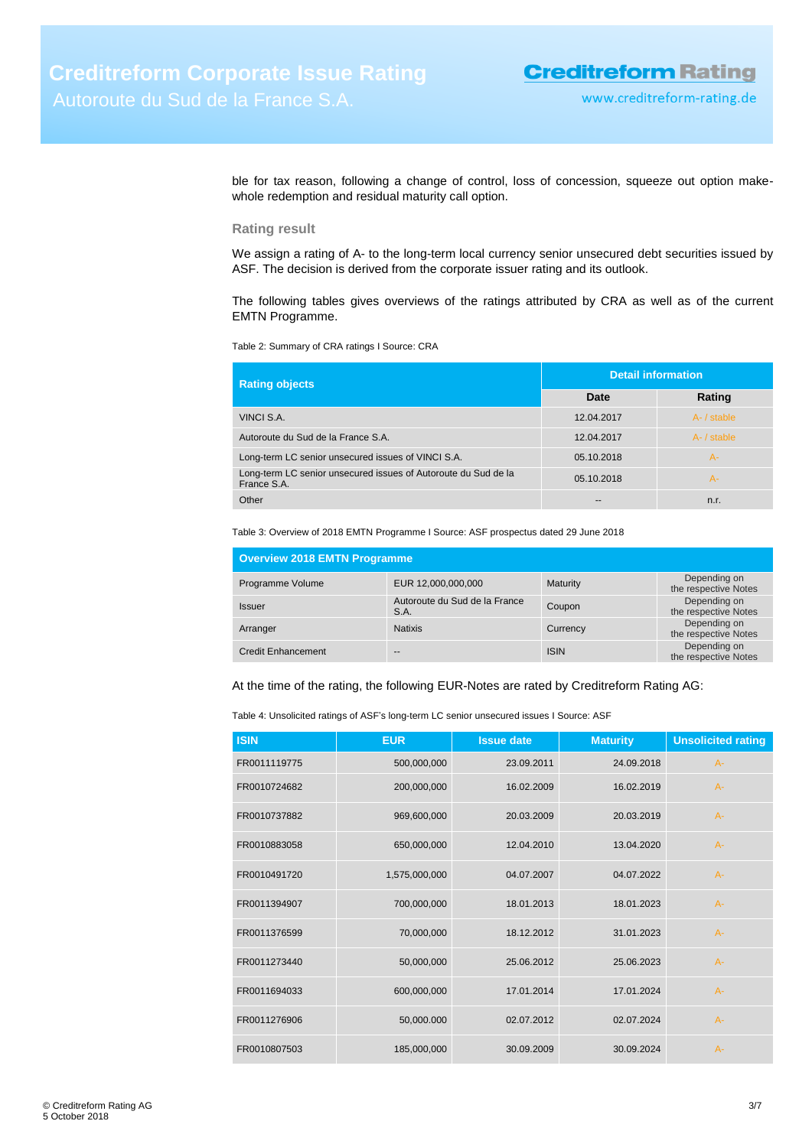ble for tax reason, following a change of control, loss of concession, squeeze out option makewhole redemption and residual maturity call option.

## **Rating result**

We assign a rating of A- to the long-term local currency senior unsecured debt securities issued by ASF. The decision is derived from the corporate issuer rating and its outlook.

The following tables gives overviews of the ratings attributed by CRA as well as of the current EMTN Programme.

Table 2: Summary of CRA ratings I Source: CRA

| <b>Rating objects</b>                                                         | <b>Detail information</b> |             |  |
|-------------------------------------------------------------------------------|---------------------------|-------------|--|
|                                                                               | Date                      | Rating      |  |
| VINCI S.A.                                                                    | 12.04.2017                | A- / stable |  |
| Autoroute du Sud de la France S.A.                                            | 12.04.2017                | A- / stable |  |
| Long-term LC senior unsecured issues of VINCI S.A.                            | 05.10.2018                | $A -$       |  |
| Long-term LC senior unsecured issues of Autoroute du Sud de la<br>France S.A. | 05.10.2018                | A-          |  |
| Other                                                                         | $\sim$                    | n.r.        |  |

Table 3: Overview of 2018 EMTN Programme I Source: ASF prospectus dated 29 June 2018

| <b>Overview 2018 EMTN Programme</b> |                                       |             |                                      |  |  |
|-------------------------------------|---------------------------------------|-------------|--------------------------------------|--|--|
| Programme Volume                    | EUR 12,000,000,000                    | Maturity    | Depending on<br>the respective Notes |  |  |
| <b>Issuer</b>                       | Autoroute du Sud de la France<br>S.A. | Coupon      | Depending on<br>the respective Notes |  |  |
| Arranger                            | <b>Natixis</b>                        | Currency    | Depending on<br>the respective Notes |  |  |
| <b>Credit Enhancement</b>           | $-$                                   | <b>ISIN</b> | Depending on<br>the respective Notes |  |  |

At the time of the rating, the following EUR-Notes are rated by Creditreform Rating AG:

Table 4: Unsolicited ratings of ASF's long-term LC senior unsecured issues I Source: ASF

| <b>ISIN</b>  | <b>EUR</b>    | <b>Issue date</b> | <b>Maturity</b> | <b>Unsolicited rating</b> |
|--------------|---------------|-------------------|-----------------|---------------------------|
| FR0011119775 | 500,000,000   | 23.09.2011        | 24.09.2018      | $A -$                     |
| FR0010724682 | 200,000,000   | 16.02.2009        | 16.02.2019      | $A -$                     |
| FR0010737882 | 969,600,000   | 20.03.2009        | 20.03.2019      | $A -$                     |
| FR0010883058 | 650,000,000   | 12.04.2010        | 13.04.2020      | $A -$                     |
| FR0010491720 | 1,575,000,000 | 04.07.2007        | 04.07.2022      | $A -$                     |
| FR0011394907 | 700,000,000   | 18.01.2013        | 18.01.2023      | $A -$                     |
| FR0011376599 | 70,000,000    | 18.12.2012        | 31.01.2023      | $A -$                     |
| FR0011273440 | 50,000,000    | 25.06.2012        | 25.06.2023      | $A -$                     |
| FR0011694033 | 600,000,000   | 17.01.2014        | 17.01.2024      | $A -$                     |
| FR0011276906 | 50,000.000    | 02.07.2012        | 02.07.2024      | $A -$                     |
| FR0010807503 | 185,000,000   | 30.09.2009        | 30.09.2024      | $A -$                     |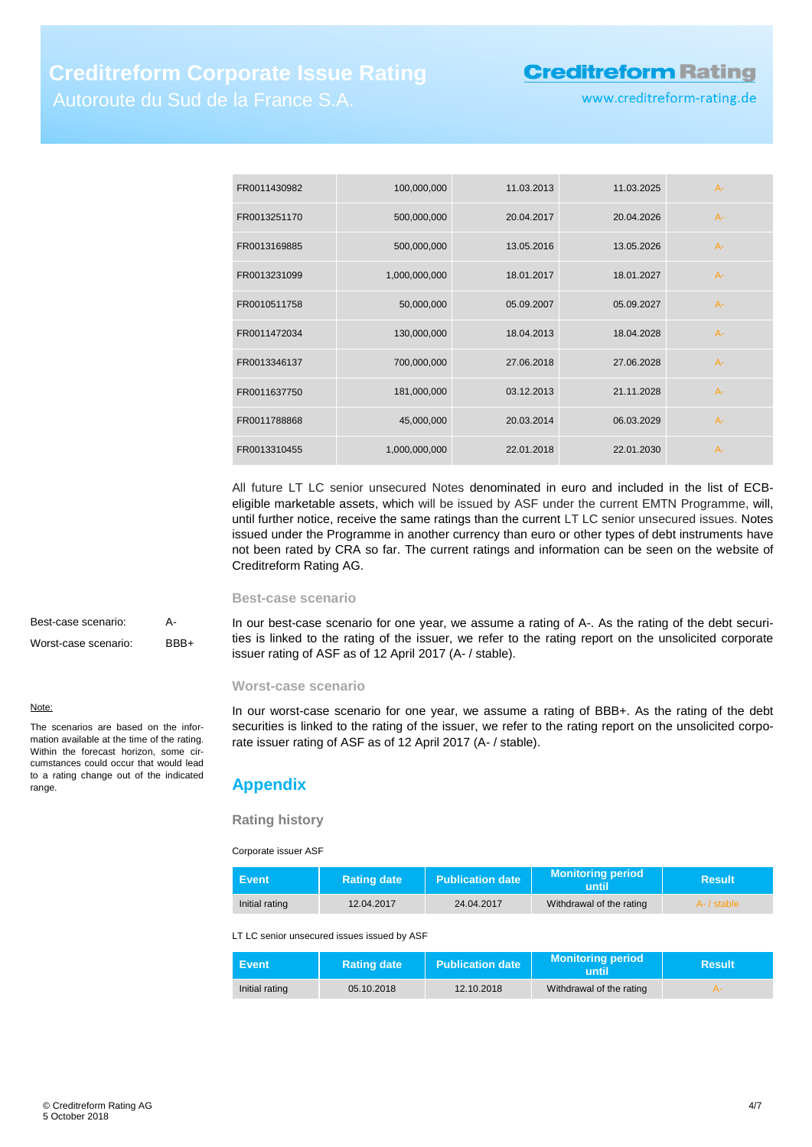# **Creditreform Rating**

www.creditreform-rating.de

| FR0011430982 | 100,000,000   | 11.03.2013 | 11.03.2025 | $A -$ |
|--------------|---------------|------------|------------|-------|
| FR0013251170 | 500,000,000   | 20.04.2017 | 20.04.2026 | $A-$  |
| FR0013169885 | 500,000,000   | 13.05.2016 | 13.05.2026 | $A -$ |
| FR0013231099 | 1,000,000,000 | 18.01.2017 | 18.01.2027 | $A -$ |
| FR0010511758 | 50,000,000    | 05.09.2007 | 05.09.2027 | $A -$ |
| FR0011472034 | 130,000,000   | 18.04.2013 | 18.04.2028 | $A -$ |
| FR0013346137 | 700,000,000   | 27.06.2018 | 27.06.2028 | $A-$  |
| FR0011637750 | 181,000,000   | 03.12.2013 | 21.11.2028 | $A -$ |
| FR0011788868 | 45,000,000    | 20.03.2014 | 06.03.2029 | $A -$ |
| FR0013310455 | 1,000,000,000 | 22.01.2018 | 22.01.2030 | $A -$ |

All future LT LC senior unsecured Notes denominated in euro and included in the list of ECBeligible marketable assets, which will be issued by ASF under the current EMTN Programme, will, until further notice, receive the same ratings than the current LT LC senior unsecured issues. Notes issued under the Programme in another currency than euro or other types of debt instruments have not been rated by CRA so far. The current ratings and information can be seen on the website of Creditreform Rating AG.

#### **Best-case scenario**

In our best-case scenario for one year, we assume a rating of A-. As the rating of the debt securities is linked to the rating of the issuer, we refer to the rating report on the unsolicited corporate issuer rating of ASF as of 12 April 2017 (A- / stable).

# **Worst-case scenario**

In our worst-case scenario for one year, we assume a rating of BBB+. As the rating of the debt securities is linked to the rating of the issuer, we refer to the rating report on the unsolicited corporate issuer rating of ASF as of 12 April 2017 (A- / stable).

# <span id="page-3-0"></span>**Appendix**

## **Rating history**

Corporate issuer ASF

| Event.         | <b>Rating date</b> | <b>Publication date</b> | <b>Monitoring period</b><br>until | <b>Result</b> |
|----------------|--------------------|-------------------------|-----------------------------------|---------------|
| Initial rating | 12.04.2017         | 24.04.2017              | Withdrawal of the rating          | A- / stable   |

LT LC senior unsecured issues issued by ASF

| Event /        | <b>Rating date</b> | <b>Publication date</b> | <b>Monitoring period</b><br>until | Result |
|----------------|--------------------|-------------------------|-----------------------------------|--------|
| Initial rating | 05.10.2018         | 12.10.2018              | Withdrawal of the rating          |        |

Best-case scenario: A-Worst-case scenario: BBB+

#### Note:

The scenarios are based on the information available at the time of the rating. Within the forecast horizon, some circumstances could occur that would lead to a rating change out of the indicated range.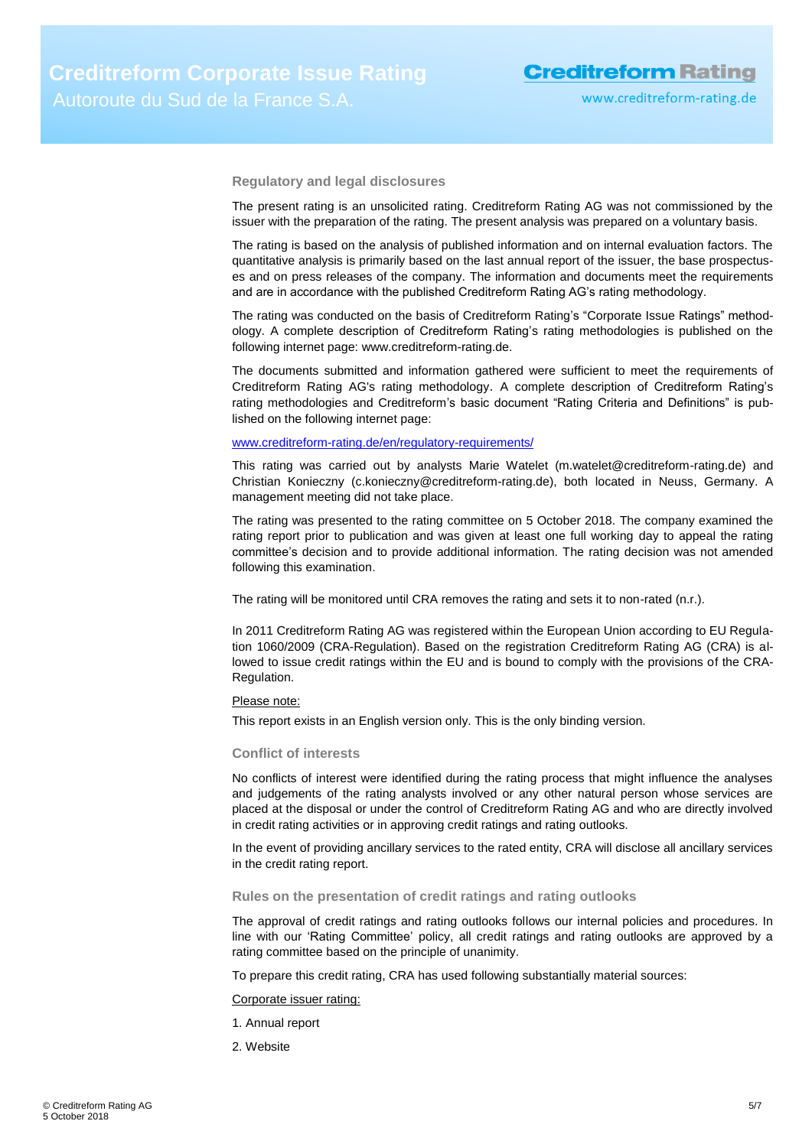**Regulatory and legal disclosures**

The present rating is an unsolicited rating. Creditreform Rating AG was not commissioned by the issuer with the preparation of the rating. The present analysis was prepared on a voluntary basis.

The rating is based on the analysis of published information and on internal evaluation factors. The quantitative analysis is primarily based on the last annual report of the issuer, the base prospectuses and on press releases of the company. The information and documents meet the requirements and are in accordance with the published Creditreform Rating AG's rating methodology.

The rating was conducted on the basis of Creditreform Rating's "Corporate Issue Ratings" methodology. A complete description of Creditreform Rating's rating methodologies is published on the following internet page: www.creditreform-rating.de.

The documents submitted and information gathered were sufficient to meet the requirements of Creditreform Rating AG's rating methodology. A complete description of Creditreform Rating's rating methodologies and Creditreform's basic document "Rating Criteria and Definitions" is published on the following internet page:

# [www.creditreform-rating.de/](http://www.creditreform-rating.de/)en/regulatory-requirements/

This rating was carried out by analysts Marie Watelet (m.watelet@creditreform-rating.de) and Christian Konieczny (c.konieczny@creditreform-rating.de), both located in Neuss, Germany. A management meeting did not take place.

The rating was presented to the rating committee on 5 October 2018. The company examined the rating report prior to publication and was given at least one full working day to appeal the rating committee's decision and to provide additional information. The rating decision was not amended following this examination.

The rating will be monitored until CRA removes the rating and sets it to non-rated (n.r.).

In 2011 Creditreform Rating AG was registered within the European Union according to EU Regulation 1060/2009 (CRA-Regulation). Based on the registration Creditreform Rating AG (CRA) is allowed to issue credit ratings within the EU and is bound to comply with the provisions of the CRA-Regulation.

#### Please note:

This report exists in an English version only. This is the only binding version.

### **Conflict of interests**

No conflicts of interest were identified during the rating process that might influence the analyses and judgements of the rating analysts involved or any other natural person whose services are placed at the disposal or under the control of Creditreform Rating AG and who are directly involved in credit rating activities or in approving credit ratings and rating outlooks.

In the event of providing ancillary services to the rated entity, CRA will disclose all ancillary services in the credit rating report.

## **Rules on the presentation of credit ratings and rating outlooks**

The approval of credit ratings and rating outlooks follows our internal policies and procedures. In line with our 'Rating Committee' policy, all credit ratings and rating outlooks are approved by a rating committee based on the principle of unanimity.

To prepare this credit rating, CRA has used following substantially material sources:

Corporate issuer rating:

- 1. Annual report
- 2. Website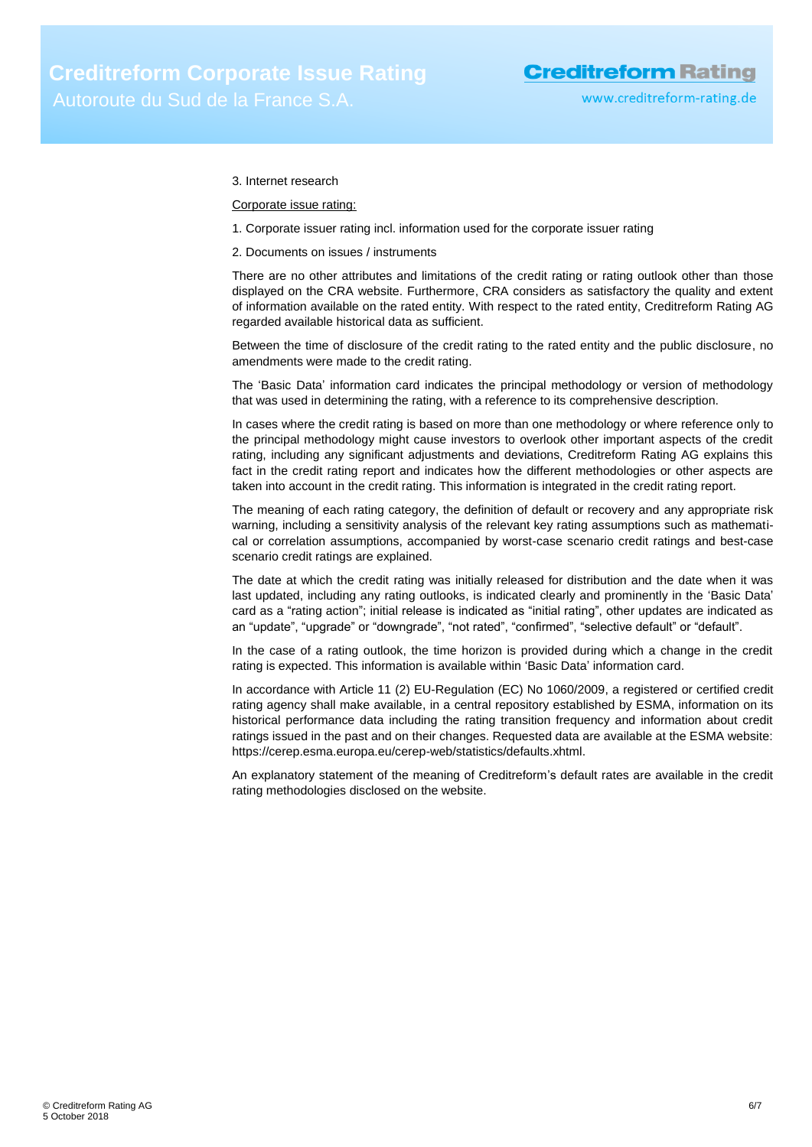## 3. Internet research

Corporate issue rating:

- 1. Corporate issuer rating incl. information used for the corporate issuer rating
- 2. Documents on issues / instruments

There are no other attributes and limitations of the credit rating or rating outlook other than those displayed on the CRA website. Furthermore, CRA considers as satisfactory the quality and extent of information available on the rated entity. With respect to the rated entity, Creditreform Rating AG regarded available historical data as sufficient.

Between the time of disclosure of the credit rating to the rated entity and the public disclosure, no amendments were made to the credit rating.

The 'Basic Data' information card indicates the principal methodology or version of methodology that was used in determining the rating, with a reference to its comprehensive description.

In cases where the credit rating is based on more than one methodology or where reference only to the principal methodology might cause investors to overlook other important aspects of the credit rating, including any significant adjustments and deviations, Creditreform Rating AG explains this fact in the credit rating report and indicates how the different methodologies or other aspects are taken into account in the credit rating. This information is integrated in the credit rating report.

The meaning of each rating category, the definition of default or recovery and any appropriate risk warning, including a sensitivity analysis of the relevant key rating assumptions such as mathematical or correlation assumptions, accompanied by worst-case scenario credit ratings and best-case scenario credit ratings are explained.

The date at which the credit rating was initially released for distribution and the date when it was last updated, including any rating outlooks, is indicated clearly and prominently in the 'Basic Data' card as a "rating action"; initial release is indicated as "initial rating", other updates are indicated as an "update", "upgrade" or "downgrade", "not rated", "confirmed", "selective default" or "default".

In the case of a rating outlook, the time horizon is provided during which a change in the credit rating is expected. This information is available within 'Basic Data' information card.

In accordance with Article 11 (2) EU-Regulation (EC) No 1060/2009, a registered or certified credit rating agency shall make available, in a central repository established by ESMA, information on its historical performance data including the rating transition frequency and information about credit ratings issued in the past and on their changes. Requested data are available at the ESMA website: https://cerep.esma.europa.eu/cerep-web/statistics/defaults.xhtml.

An explanatory statement of the meaning of Creditreform's default rates are available in the credit rating methodologies disclosed on the website.